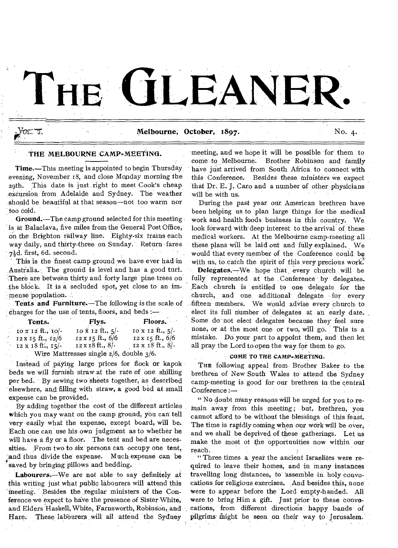# THE **GLEANEI**

Vor. 7.

## Melbourne, October,  $1897.$  No. 4.

## THE MELBOURNE CAMP=MEETING.

Time.—This meeting is appointed to begin Thursday evening, November 18, and close Monday morning the 20th. This date is just right to meet Cook's cheap excursion from Adelaide and Sydney. The weather should be beautiful at that season—not too warm nor too cold.

Ground.'—The camp ground selected for this meeting 'is at BalaclaVa, five miles fromthe General Post Office, on the Brighton railway line. Eighty-six trains each way daily, and thirty-three on Sunday. Return fares  $7\frac{1}{2}d.$  first, 6d. second.

This is the finest camp ground we have ever had in Australia. The ground is level and has a good turf. There are between thirty and forty large pine trees on the block. It is a secluded spot, yet close to an immense population.

Tents and Furniture.—The following is the scale of charges for the use of tents, floors, and beds :— .

| Tents.                     | Flys.                                                  | Floors.                 |
|----------------------------|--------------------------------------------------------|-------------------------|
| 10 x 12 ft., 10/-          | $\frac{1}{2}$ to $\frac{1}{2}$ iz ft., $\frac{1}{2}$ . | 10 x 12 ft., $5$ .      |
| $12 \times 15$ ft., $12/6$ | $12 \times 15$ ft., 6/6                                | $12 \times 15$ ft., 6/6 |
| $12 \times 18$ ft., $15$ . | $12 \times 18$ ft., 8/-                                | $12 \times 18$ ft., 8/- |
|                            | Wire Mattresses single $2/6$ , double $3/6$ .          |                         |

Instead of paying large prices for flock or kapok beds we will furnish straw at the rate of one shilling per bed. By sewing two sheets together, as described elsewhere, and filling with straw, a good bed at small `expense can be provided.

By adding together the cost of the different, articles which you may want on the camp ground, you can tell very easily what the expense, except board, will be. Each one can' use his own judgment as to whether he will have a fly or a floor. The tent and bed are necessities. From two to six' persons can occupy one tent, 'And thus divide the expense. Much expense can be saved by bringing pillows and bedding.

Labourers.-We are not able to say definitely at this writing just what public labourers will attend this meeting. Besides the regular ministers of the Conference we expect to have the presence of Sister White, and Elders Haskell, White, Farnsworth, Robinson, and Hare. These labourers will all attend the Sydney

meeting, and we hope it will be possible for them to come-to Melbourne'. Brother Robinson and family have just arrived from South Africa to connect with this Conference. Besides these ministers we expect that Dr. E. **J.** Caro and a number of other physicians will be with us.

During the past year our, American brethren have been helping us to plan large things for the medical work and health foods business in this country. We look forward with deep interest to the arrival of these medical workers. At the Melbourne camp-meeting all these plans will be laid out and fully explained. We would that every member of the Conference could be with us, to catch the spirit of this very precious work. Delegates.—We hope that every church will be fully represented at the Conference by delegates. Eaeh church is entitled to one delegate, for the church, and one additional delegate for every fifteen members. We would advise every church to elect its full number of delegates at an early date. Some do' not elect delegates because they feel sure none, or at the most one or two; will go. This is a mistake. DO your part to appoint them; and then let all pray the Lord to-open the way, for them to go.

#### COME TO THE CAMP-MEETING.

THE following appeal from Brother Baker to the brethren of New South Wales to attend the Sydney camp-meeting is good for our brethren in the' central Conference :—

" No doubt many reasons will be urged for you to-remain away from this meeting; but, brethren, you cannot afford to be without the blessings of this feast. The time is rapidly coming when our work will be over, and we shall be deprived of these gatherings. Let us make the most of the opportunities now within our reach.

" Three times a year the ancient Israelites were required to leave their homes, and in many instances travelling long distances, to assemble in holy convocations for religious exercises. And besides this, none were to appear before the 'Lord. empty-handed. All were to bring Him a gift. -Just prior to these convocations, from different directions happy bands of pilgrims might be seen on their way to Jerusalem.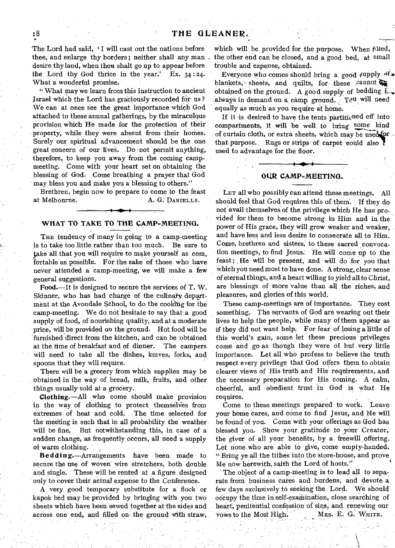The Lord had said, 'I will cast out the nations before thee, and enlarge thy borders; neither shall any man desire thy land, when thou shalt go up to appear before the Lord thy God thrice in the year.' Ex. 34 :24. What a wonderful promise.

What may we learn from this instruction to ancient Israel which the Lord has graciously recorded for us ? We can at once see the great importance which God attached to these annual gatherings, by the miraculous provision which He made for the protection of their property, while they were absent from their homes. Surely our spiritual advancement should be the one great concern of our lives. Do not permit anything, therefore, to keep you away from the coming campmeeting. Come with your heart set on obtaining the blessing of God: Come breathing a prayer that God may bless you and make you a blessing to others."

Brethren, begin now to prepare to come to the feast at Melbourne. A. G. DANIELLS.

# **4 Ater WHAT TO TAKE TO THE CAMP=MEETING.**

THE tendency of many in going to a camp-meeting is to take too little rather than too much. Be sure to take all that you will require to make yourself as com. 'fortable as possible. For the sake of those who have never attended a camp-meeting, we will make a few general suggestions.

**Food.—It** is designed to secure the services of T. W. Skinner, who has had charge of the culinary department at the Avondale School; to do the cookhig for the camp-meeting. We do not hesitate to say that a good supply' of food, of nourishing quality, and at a moderate price, will be provided on the ground. Hot food will be furnished direct from the kitchen, and can be obtained at the time of breakfast and of dinner. The campers will need to take all the dishes, knives, forks, and spoons that they will require.

There will be a grocery from which supplies may be obtained in the way of bread, milk, fruits, and other things usually-sold at' a grocery.

**Clothing.—All** who come should make provision in the way of clothing to protect themselves from extremes of heat and cold. The time selected for the meeting is such that in all probability the weather will be fine; But notwithstanding this, in case of a sudden change, as frequently occurs, all need a supply of warm clothing.

**Bedding.—Arrangements** have been, made to secure the use of woven wire stretchers, both double and single. These will be rented at a figure designed only 'to cover their actual expense to the Conference.

A very good temporary substitute for a flock or kapok bed may be provided by bringing with you' two sheets which have been sewed together at the sides and across one end, and filled on the ground with straw,

which will be provided for the purpose. When filled, the other end can be closed, and a good bed, at small trouble and expense, obtained.

Everyone who comes should bring a good supply of blankets, sheets, and quilts, for these  $\sinh \theta$ obtained on the ground. A good supply of bedding i. always in demand on-a camp, ground.  $\sqrt{Y}$ eu will need equally as much as you require at home.

If it is desired to have the tents partitic ned off into compartments, it will be well to bring of curtain cloth, or extra sheets, which may be used for that purpose. Rugs or strips of carpet could also used to advantage for the floor.

#### OIIR **CAMP=MBETINO.**

• ,

LET all who possibly can attend these meetings. All should feel that God requires this of them. If they do not avail themselves of the privilege which He has provided for them to become strong in Him and in the power of His grace, they will grow weaker and weaker. and have less and less desire to consecrate all to Him. Come, brethren and sisters, to these sacred convocation meetingS, to find Jesus: He. will come up to the feast; He will be present, and will do for you that which you need most to have done. A strong, clear sense of eternal things, and a heart willing to yield all to Christ, are blessings of more value than all the riches, and pleasures; and glories of this world.

These camp-meetings are of importance. They cost something. The servants of God are wearing out their lives to help the people, while many of them appear as if they did not want help. For fear of losing allittle of this world's gain, some let these precious privileges come and go as though they were of but very little importance. Let all who profess to believe the truth respect every privilege that God offers them to obtain clearer views of His truth and His' requirements, and the necessary preparation for His coming. A calm, cheerful, and •obedient trust in God \_ is what He requires.

Come to these meetings prepared to work. Leave your home cares, and come to find Jesus, and He will be found of you, Come with your offerings as' God has blessed you. Show your gratitude to your Creator, the giver of all your benefits, by a freewill offering. Let none who are able to give, come empty-handed. " Bring ye all the tithes into the store-house, and prove Menow herewith; saith the Lord of hosts."

The object of a camp-meeting is to lead all to separate from business cares and burdens, and devote a few days exclusively to seeking the Lord. We Should occupy the time in self-examination, close searching of heart, penitential confession of sins, and renewing our vows to the Most High. Mrs. E. G. WHITE.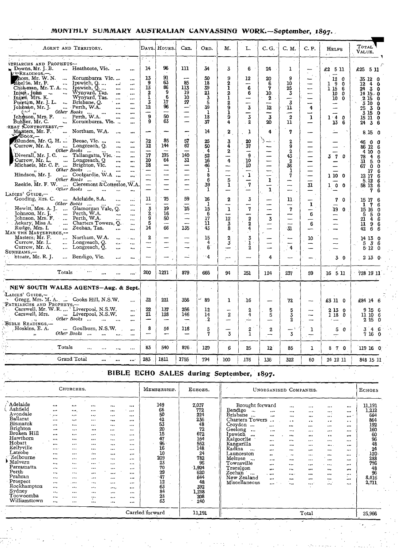# MONTHLY SUMMARY AUSTRALIAN CANVASSING WORK-September, 1897.

| AGENT AND TERRITORY.                                                                                                                  |                                                              | DAYS. HOURS.          | Can.                                                            | Ord.                          | м.                                     | L.                                       | C. G.                  | C. M.                                                      | C. P.                    | <b>HELPS</b><br>$\sim$                      | <b>TOTAL</b><br>Value.                                             |
|---------------------------------------------------------------------------------------------------------------------------------------|--------------------------------------------------------------|-----------------------|-----------------------------------------------------------------|-------------------------------|----------------------------------------|------------------------------------------|------------------------|------------------------------------------------------------|--------------------------|---------------------------------------------|--------------------------------------------------------------------|
| $\sim$ 1<br>ATRIARCHS AND PROPHETS-                                                                                                   | रत,                                                          | 96                    |                                                                 |                               |                                        |                                          |                        |                                                            |                          |                                             |                                                                    |
| Heathcote, Vic.<br>$\blacksquare$ Downs, Mr. J. B.<br>VEREADINGS.-                                                                    | 14<br>$\ddot{\phantom{a}}$                                   |                       | 111                                                             | 34                            | 3                                      | 6                                        | 24                     | ı                                                          | --                       | £2 5 11                                     | £25 5 11                                                           |
| hom, Mr. W. N.  Korumburra Vic<br>Recite, Mr. P.  Ipswich, Q.                                                                         | $\frac{13}{9}$<br><br>$\ddotsc$                              | 91<br>63              | 85                                                              | 50<br>18                      | 9<br>2                                 | 12<br>—                                  | 20<br>6                | 9<br>10                                                    | $\mathcal{L}$            | 120<br>19<br>$\mathbf 0$                    | 35 12 0<br>$\overline{12}$ $\overline{4}$ $\overline{0}$           |
| Chakeman, Mr. T. A.  Ipswich, Q.<br><br>Wynyard, Tas.<br>Inap, John<br>$\cdots$<br>                                                   | 13<br>$\cdots$<br>2<br>                                      | 86<br>9               | 113<br>19                                                       | 39<br>$\frac{21}{3}$          | ī<br>2                                 | 6<br>6                                   | 7<br>10.               | $\frac{25}{3}$                                             | $\frac{1}{1}$            | 1 15<br>6<br>0                              | 24 3 0<br>$14$ 15 $-0$                                             |
| Inizes, Mrs. K.<br>Wynyard, Tas.<br>$\ddotsc$<br>Putrs, Mr. J. L.<br>Brisbane, Q.<br>$\sigma_{\rm max}$<br>$\ddotsc$                  | 1<br>$\ddotsc$<br>3<br>                                      | 6<br>17               | 10<br>27                                                        | $39 - 5$                      | $\mathbf{1}$<br>$\bf{2}$               | --<br>-                                  | 2<br>--                | $\overline{\overline{\overline{3}}}$                       | --                       | $\frac{10}{10}$<br>$\Omega$<br>-            | 2150<br>3100                                                       |
| Johnaan, Mr. J.<br>Perth, W.A.<br><br>$\mathbb{R}^{n-1}$ .<br>Other Books<br>                                                         | 12<br><br>-<br>                                              | 96<br>—               | —́<br>—                                                         | $\mathbf{1}$                  | 9<br>ı                                 | $\overline{3}$<br>---                    | 12<br>--               | 11<br>--                                                   | 4                        |                                             | $25\overline{3}$<br>$\mathbf 0$<br>3 15<br>$\overline{\mathbf{0}}$ |
| Johnson, Mrs. F.<br>Perth, W.A.<br>$\mathcal{L}_{\text{max}}$<br>$\cdots$<br>Buhller, Mr. C.<br>Korumburra, Vic<br>REAT CONTROVERSY,- | 9<br><br>9<br>$\ddot{\phantom{a}}$                           | 50<br>63              | -                                                               | 18<br>37                      | 9<br>4                                 | 3<br>$\overline{\phantom{0}}$ 2          | 3<br>20                | $\overline{2}$<br>11                                       | $\mathbf{1}$             | $1 - 4$<br>$\mathbf{0}$<br>13<br>6          | 15110<br>24<br>3<br>-6                                             |
| Northam, W.A.<br>Masters, Mr. F.<br>$\ddotsc$<br>$\blacktriangleright$ Воок,—                                                         |                                                              |                       | -<br>$\mathcal{L}_{\mathcal{L}}$                                | 14                            | 2                                      | 1                                        | 4                      | 7                                                          |                          |                                             | 8150                                                               |
| Blunden, Mr. G. H.  Beeac, Vic.<br><br>Currow, Mr. A.  Longreach, Q.<br>$\ddotsc$                                                     | 12<br><br>12<br>$\ddotsc$                                    | 85<br>144             | 57<br>67                                                        | 25<br>50                      | 3<br>4                                 | 20<br>37                                 | ∸                      | $\boldsymbol{2}$<br>9                                      |                          |                                             | 46<br>$\alpha$<br>0<br>86 12 6                                     |
| Other Books<br>$\ddotsc$<br>Diverall, Mr. J. C.  Tallangatta, Vic.                                                                    | -<br><br>17<br>                                              | 175                   | 140                                                             | 4<br>52                       | 2<br>—                                 | -<br>9                                   | <br>-                  | $\frac{2}{43}$                                             | ÷                        | $3 - 7$<br>0                                | 4 10<br>$\overline{\mathbf{0}}$<br>- č<br>$\frac{1}{4}$<br>78      |
| Longreach, Q<br>Currow, Mr. L.<br>$\ddotsc$<br>Michaels, Mr. C. P.  Brighton, Vic.<br>$\ddotsc$                                       | 10<br>$\cdots$<br>18<br>                                     | 64<br>—               | 31<br>--                                                        | 16                            | 4<br>—                                 | 10<br>10                                 | -                      | $rac{2}{36}$                                               | --                       |                                             | 31 5.<br>$\bf{0}$<br>67 0<br>$\mathbf 0$                           |
| Other Books<br>$\cdots$<br>Coolgardie, W.A<br>Hindson, Mr. J.                                                                         | $\overline{\phantom{0}}$<br>$\ddot{\phantom{a}}$<br>-<br>    | --<br>---             | -<br>-                                                          | $\frac{46}{1}$<br>8           | —                                      | $\overline{\phantom{0}}$<br>$\mathbf{1}$ | $\equiv$<br>-          | 1<br>7                                                     | $\overline{\phantom{0}}$ | 1 10 0                                      | 6<br>17<br>12 17<br>- 6                                            |
| Other Books<br>Reekie, Mr. F. W.  Cleremont & Cottesloe, W.A.<br>Other Books                                                          | ш.                                                           |                       | <b></b><br>$\overline{\phantom{0}}$<br>$\overline{\phantom{0}}$ | 6<br>39                       | $\frac{1}{5}$<br>$\mathbf{1}$          | -<br>$\sqrt{7}$                          | $\mathbf 1$            | -<br>—                                                     | -<br>31                  | 10<br>0                                     | 5.12<br>- 6<br>58 12<br>- 6                                        |
| $\ddot{\phantom{a}}$<br>$\cdots$<br>LADIES' GUIDE.-<br>Gooding, Mrs. C.<br>Adelaide, S.A.                                             | 11                                                           | 75                    | 59                                                              | $\mathbf{1}$<br>16            | —                                      |                                          | $\mathbf 1$            | —                                                          | —                        |                                             | 7<br>6                                                             |
| <br>Other Books<br>Hewitt, Mrs. A. J.<br>Glamorgan Vale, Q.                                                                           | $\ddotsc$<br>--<br><br>3                                     | 19                    | 25                                                              | $\overline{\mathbf{1}}$<br>15 | $\boldsymbol{2}$<br>--<br>$\mathbf{1}$ | 3<br>---<br>7                            | --<br>-                | 11<br>--                                                   | -<br>ı                   | 7<br>$\Omega$                               | 15 17 6<br>1 <sub>7</sub><br>6                                     |
| Perth, $\tilde{W}$ .A.<br>Johnson, Mr. J.<br>$\cdots$<br>Johnson, Mrs. F.  Perth, W.A.                                                | $\overline{\phantom{a}}$<br>2<br>$\ddotsc$<br>$\overline{9}$ | 16<br>50              | -<br>--                                                         | 6<br>17                       | --<br>12                               | ----<br>$\overline{a}$                   | —<br>---               | 7<br>--                                                    | 6                        | 19<br>$\Omega$                              | 15 16<br>$\overline{\mathbf{0}}$<br>5<br>5<br>$\mathbf 0$          |
| Ackary, Miss A.<br>Charters Towers, Q.<br>Rudge, Mrs. I.<br>Zeehan, Tas.<br>$\cdots$                                                  | <br>5<br>$\cdots$<br>14                                      | $\overline{a}$<br>66  | ÷.<br>135                                                       | 11<br>43                      | $\frac{3}{8}$                          | $\overline{2}$<br>4                      | 3<br>---               | $\overline{\phantom{0}}$<br>$\overline{\phantom{a}}$<br>31 | 6                        |                                             | $\frac{6}{6}$<br>$\frac{21}{11}$<br>4<br>9                         |
| $\ddot{\phantom{a}}$<br>MAN THE MASTERPIECE,--                                                                                        |                                                              |                       |                                                                 |                               |                                        |                                          |                        |                                                            |                          |                                             | 42<br>6<br>- 6                                                     |
| Masters, Mr. F.<br>Northam, W.A.<br>$\cdots$<br>Currow, Mr. L.<br>Longreach, Q.<br>$\mathcal{C}_{\mathbf{t},\mathbf{w}}$ .            | 2<br>$\ddotsc$<br>⊸.<br>                                     | --                    | $\overline{\phantom{a}}$<br>-                                   | 15<br>4                       | $\mathbf 2$<br>3                       | 3<br>ı                                   | ÷                      | <b></b><br>$\overline{\phantom{0}}$                        | 10                       |                                             | 14 13 0<br>$5\quad 3\quad 6$                                       |
| Currow, Mr. A.<br>Longreach, Q.<br>                                                                                                   | $\overline{\phantom{a}}$<br>$\ddotsc$                        |                       | --                                                              | 6                             | -                                      | 2                                        |                        | 4                                                          |                          |                                             | 5120                                                               |
| SUNBEAMS,-<br>Stoate, Mr. R. J.<br>Bendigo, Vic.<br>$\ldots$                                                                          | -<br>                                                        |                       | ≟                                                               | $-4$                          | ÷                                      |                                          | 4                      |                                                            |                          | 30                                          | 2130                                                               |
| المعجزات<br>Totals<br>$\dddotsc$<br>$\cdots$                                                                                          | 200<br>m.                                                    | 1271                  | 879.                                                            | 665                           | 94                                     | 151                                      | 124                    | 237                                                        | 59                       | 16 5 11                                     | 728 19 11                                                          |
| NEW SOUTH WALES AGENTS-Aug. & Sept.                                                                                                   |                                                              |                       |                                                                 |                               |                                        |                                          |                        |                                                            |                          | χ×.                                         |                                                                    |
| LADIES' GUIDE,-<br>Gregg, Mrs. M. A.  Cooks Hill, N.S.W.                                                                              | 32<br>$\ddotsc$                                              | $\alpha = 1/2$<br>221 | 356                                                             | -89                           | 1                                      | -16                                      |                        | 72                                                         |                          | £3 11 0                                     | £84 14 6                                                           |
| PATRIARCHS AND PROPHETS,-                                                                                                             | 22<br>$\cdots$                                               | 137                   | 256                                                             | 12                            | ۳                                      | $\mathbf{2}$                             | 5                      |                                                            | --                       | 2130                                        | 9156                                                               |
| Carswell, Mr. W.R.  Liverpool, N.S.W.<br>Carswell, Mrs.  Liverpool, N.S.W.<br>Other Books                                             | 21<br>$\cdots$<br>--<br>$\cdots$                             | 128                   | 146                                                             | 14<br>-2                      | $\boldsymbol{2}$                       | 4<br>∸                                   | 5                      | $\frac{5}{3}$<br>2                                         | --                       | 1 18 D                                      | 11 10 6<br>2150                                                    |
| BIBLE READINGS,-<br>Goulburn, N.S.W.<br>Hoskins, E.A.                                                                                 | 8                                                            | 54                    | $\sim$<br>118                                                   | 5                             | --                                     |                                          |                        | $-1$                                                       | $\mathbf{1}$             |                                             | 3'46                                                               |
| Other Books<br>$\ddot{\phantom{a}}$                                                                                                   | <br>$\overline{a}$<br>                                       |                       |                                                                 | 7                             | 3                                      | $^2_1$                                   | $\boldsymbol{2}$<br>-- | 3                                                          | $\overline{\phantom{a}}$ | 5<br>$^{\circ}$<br>$\overline{\phantom{a}}$ | 7160                                                               |
| Totals<br>$\ddotsc$                                                                                                                   | 83<br>$\ddotsc$                                              | 540                   | 876                                                             | 129                           | 6                                      | 25                                       | 12                     | 85                                                         | $\mathbf{1}$             | $8$ 7 0                                     | 119 16 0                                                           |
| Grand Total<br>$\overline{a}$                                                                                                         | 283<br>                                                      | 1811                  | 1755                                                            | 794                           | 300                                    | 176                                      | 136                    | 322                                                        | 60                       | 24 12 11                                    | 848 15 11                                                          |
|                                                                                                                                       |                                                              |                       |                                                                 |                               |                                        |                                          |                        |                                                            |                          |                                             |                                                                    |

BIBLE ECHO SALES during September, 1897.

| $\alpha = -1$                                                                                                                                                                                                                                                  |                                                                                                                                                                                                    | CHURCHES.                                                                                                                                                 |                                                                                                                |                                                                                                                                               |                                                                                                                                                                              | MEMBERSHIP.                                                                                                                               | ECHOES.                                                                                                                                      | UNORGANISED COMPANIES.                                                                                                                                                                                                                                                                                                                                                                                                                                                                                                                                                                                                                                                                                                                                                                                                                                                                                                                                                                                     | ECHOES                                                                                                                                      |
|----------------------------------------------------------------------------------------------------------------------------------------------------------------------------------------------------------------------------------------------------------------|----------------------------------------------------------------------------------------------------------------------------------------------------------------------------------------------------|-----------------------------------------------------------------------------------------------------------------------------------------------------------|----------------------------------------------------------------------------------------------------------------|-----------------------------------------------------------------------------------------------------------------------------------------------|------------------------------------------------------------------------------------------------------------------------------------------------------------------------------|-------------------------------------------------------------------------------------------------------------------------------------------|----------------------------------------------------------------------------------------------------------------------------------------------|------------------------------------------------------------------------------------------------------------------------------------------------------------------------------------------------------------------------------------------------------------------------------------------------------------------------------------------------------------------------------------------------------------------------------------------------------------------------------------------------------------------------------------------------------------------------------------------------------------------------------------------------------------------------------------------------------------------------------------------------------------------------------------------------------------------------------------------------------------------------------------------------------------------------------------------------------------------------------------------------------------|---------------------------------------------------------------------------------------------------------------------------------------------|
| Adelaide<br>Ashfield<br>Avondale<br>Ballarat<br>Bismarck<br>Brighton<br>Broken Hill<br>Hawthorn<br>Hobart<br>Kellyville<br>Latrobe<br>Melbourne<br>Malvern<br>Parramatta<br>Perth<br>Prahran<br>Prospect<br>Rockhampton<br>Sydney<br>Toowoomba<br>Williamstown | <br>$\cdots$<br>1.111<br><br>$\cdots$<br>$\cdots$<br><br>$\cdots$<br>$\cdots$<br>$\cdots$<br>$\cdots$<br>$\cdots$<br><br>$\cdots$<br>$\cdots$<br>$\cdots$<br>$\cdots$<br>$\ddotsc$<br><br>$\cdots$ | <br><br>1.1<br><br><br><br><br><br><br>$\cdots$<br>$\cdots$<br>$\cdots$<br>$\cdots$<br>$\cdots$<br>$\cdots$<br>$\cdots$<br>$-$ - $-$<br>$\ddotsc$<br><br> | <br><br><br><br>.<br><br><br><br><br><br><br><br><br>$\cdots$<br><br>$\cdots$<br>$\cdots$<br>$\ddotsc$<br><br> | $\cdots$<br><br>$\cdots$<br><br>$\cdots$<br><br><br>$\cdots$<br><br><br>$\cdots$<br><br>$\cdots$<br><br>---<br><br>18.4.4<br><br>$\cdots$<br> | <br>$\cdots$<br><br>$\cdots$<br><br>$\cdots$<br>$\cdots$<br>$\cdots$<br>$\cdots$<br>$\cdots$<br>$\cdots$<br>$\cdots$<br><br><br>$\cdots$<br><br><br><br>$\cdots$<br>$\cdots$ | 149<br>66<br>50<br>42<br>$5\overline{3}$<br>20<br>15<br>47<br>95<br>16<br>10<br>209<br>23<br>70<br>29<br>47<br>12<br>63<br>84<br>28<br>63 | 2,037<br>772<br>224<br>236<br>48<br>72<br>672<br>164<br>552<br>148<br>24<br>782<br>96<br>$-1,924$<br>620<br>644<br>48<br>392<br>1,288<br>208 | Brought forward<br>$\cdots$<br><br><br><br>Bendigo<br>$\cdots$<br><br><br><br>$\cdots$<br>Brisbane<br>$\cdots$<br><br><br><br><br><b>Charters Towers</b><br>$\ddot{\phantom{0}}$<br>$\sim$<br><br>$\ddot{\bullet}$<br>Croydon<br><br><br>$\cdots$<br>$$<br><br>Geelong<br>$\ddotsc$<br>.48<br>$\cdots$<br><br><br><br>Ipswich<br>$\ddotsc$<br><br><br>$\bullet$<br><br><br>Kalgoorlie<br><br><br>$\cdots$<br>$\cdots$<br><br>Kangarilla<br><br>$\cdots$<br><br><br>$\cdots$<br>Kadína<br>$\ddotsc$<br><br>$\cdots$<br><br><br>$\cdots$<br>Launceston<br>$^{\bullet\bullet}$<br>$\mathbf{r}$<br>$\cdots$<br><br><br>Melrose<br>$\ddotsc$<br>$\cdots$<br>$\cdots$<br>$\cdots$<br>$\cdots$<br><br>Townsville<br><br>$\cdots$<br>$1 - 100$<br>$\cdots$<br><br>Traralgon<br><br><br><br><br><br>$\operatorname{Zeehan}$ .<br>$\overline{\phantom{a}}$<br>$\cdot$<br><br><br><br>$\cdots$<br>New Zealand<br>$\mathbf{u}$<br>$\cdots$<br><br>$\cdots$<br><br><br>Miscellaneous<br>and The<br><br>$\cdots$<br><br> | 11,191<br>1,212<br>664<br>864<br>192<br>160<br>$\frac{60}{96}$<br>24<br>$1\overline{2}0$<br>288<br>776<br>$\frac{48}{96}$<br>8,416<br>2,711 |
|                                                                                                                                                                                                                                                                |                                                                                                                                                                                                    |                                                                                                                                                           |                                                                                                                |                                                                                                                                               |                                                                                                                                                                              | Carried forward                                                                                                                           | 240<br>11,191                                                                                                                                | Total                                                                                                                                                                                                                                                                                                                                                                                                                                                                                                                                                                                                                                                                                                                                                                                                                                                                                                                                                                                                      | 25,966                                                                                                                                      |